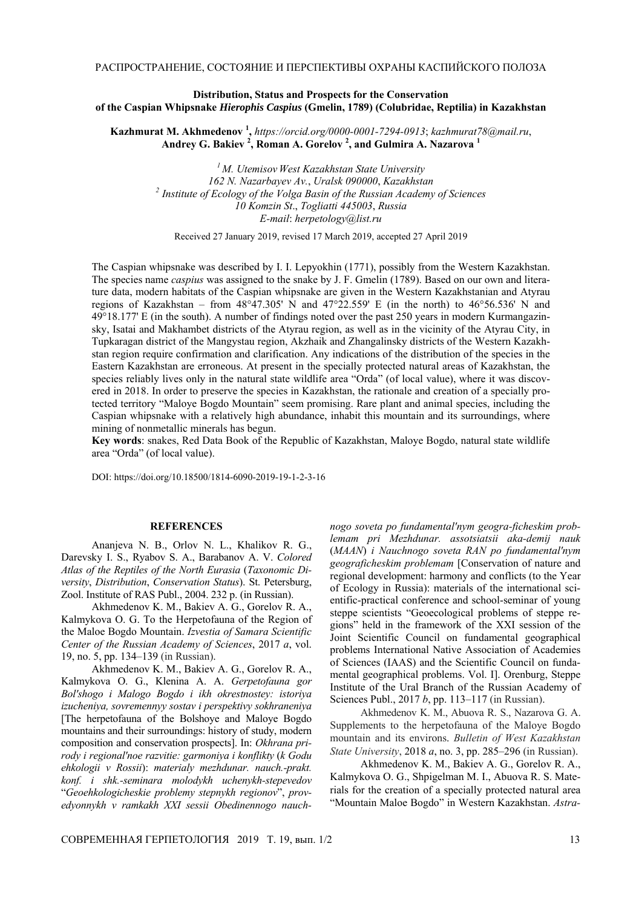## **Distribution, Status and Prospects for the Conservation of the Caspian Whipsnake** *Hierophis Caspius* **(Gmelin, 1789) (Colubridae, Reptilia) in Kazakhstan**

**Kazhmurat M. Akhmedenov <sup>1</sup> ,** *https://orcid.org/0000-0001-7294-0913*; *kazhmurat78@mail.ru*, **Andrey G. Bakiev <sup>2</sup> , Roman A. Gorelov <sup>2</sup> , and Gulmira A. Nazarova <sup>1</sup>**

> *1 M. Utemisov West Kazakhstan State University 162 N. Nazarbayev Av.*, *Uralsk 090000*, *Kazakhstan 2 Institute of Ecology of the Volga Basin of the Russian Academy of Sciences 10 Komzin St*., *Togliatti 445003*, *Russia E-mail*: *herpetology*@*list.ru*

Received 27 January 2019, revised 17 March 2019, accepted 27 April 2019

The Caspian whipsnake was described by I. I. Lepyokhin (1771), possibly from the Western Kazakhstan. The species name *caspius* was assigned to the snake by J. F. Gmelin (1789). Based on our own and literature data, modern habitats of the Caspian whipsnake are given in the Western Kazakhstanian and Atyrau regions of Kazakhstan – from  $48^{\circ}47.305'$  N and  $47^{\circ}22.559'$  E (in the north) to  $46^{\circ}56.536'$  N and 49°18.177' E (in the south). A number of findings noted over the past 250 years in modern Kurmangazinsky, Isatai and Makhambet districts of the Atyrau region, as well as in the vicinity of the Atyrau City, in Tupkaragan district of the Mangystau region, Akzhaik and Zhangalinsky districts of the Western Kazakhstan region require confirmation and clarification. Any indications of the distribution of the species in the Eastern Kazakhstan are erroneous. At present in the specially protected natural areas of Kazakhstan, the species reliably lives only in the natural state wildlife area "Orda" (of local value), where it was discovered in 2018. In order to preserve the species in Kazakhstan, the rationale and creation of a specially protected territory "Maloye Bogdo Mountain" seem promising. Rare plant and animal species, including the Caspian whipsnake with a relatively high abundance, inhabit this mountain and its surroundings, where mining of nonmetallic minerals has begun.

**Key words**: snakes, Red Data Book of the Republic of Kazakhstan, Maloye Bogdo, natural state wildlife area "Orda" (of local value).

DOI: https://doi.org/10.18500/1814-6090-2019-19-1-2-3-16

## **REFERENCES**

Ananjeva N. B., Orlov N. L., Khalikov R. G., Darevsky I. S., Ryabov S. A., Barabanov A. V. *Colored Atlas of the Reptiles of the North Eurasia* (*Taxonomic Diversity*, *Distribution*, *Conservation Status*). St. Petersburg, Zool. Institute of RAS Publ., 2004. 232 p. (in Russian).

Akhmedenov K. M., Bakiev A. G., Gorelov R. A., Kalmykova O. G. To the Herpetofauna of the Region of the Maloe Bogdo Mountain. *Izvestia of Samara Scientific Center of the Russian Academy of Sciences*, 2017 *a*, vol. 19, no. 5, pp. 134–139 (in Russian).

Akhmedenov K. M., Bakiev A. G., Gorelov R. A., Kalmykova O. G., Klenina A. A. *Gerpetofauna gor Bol'shogo i Malogo Bogdo i ikh okrestnostey: istoriya izucheniya, sovremennyy sostav i perspektivy sokhraneniya* [The herpetofauna of the Bolshoye and Maloye Bogdo mountains and their surroundings: history of study, modern composition and conservation prospects]. In: *Okhrana prirody i regional'noe razvitie: garmoniya i konflikty* (*k Godu ehkologii v Rossii*): *materialy mezhdunar. nauch.-prakt. konf. i shk.-seminara molodykh uchenykh-stepevedov*  "*Geoehkologicheskie problemy stepnykh regionov*", *provedyonnykh v ramkakh XXI sessii Obedinennogo nauch-* *nogo soveta po fundamental'nym geogra-ficheskim problemam pri Mezhdunar. assotsiatsii aka-demij nauk*  (*MААN*) *i Nauchnogo soveta RАN po fundamental'nym geograficheskim problemam* [Conservation of nature and regional development: harmony and conflicts (to the Year of Ecology in Russia): materials of the international scientific-practical conference and school-seminar of young steppe scientists "Geoecological problems of steppe regions" held in the framework of the XXI session of the Joint Scientific Council on fundamental geographical problems International Native Association of Academies of Sciences (IAAS) and the Scientific Council on fundamental geographical problems. Vol. I]. Orenburg, Steppe Institute of the Ural Branch of the Russian Academy of Sciences Publ., 2017 *b*, pp. 113–117 (in Russian).

Akhmedenov K. M., Abuova R. S., Nazarova G. A. Supplements to the herpetofauna of the Maloye Bogdo mountain and its environs. *Bulletin of West Kazakhstan State University*, 2018 *а*, no. 3, pp. 285–296 (in Russian).

Akhmedenov K. M., Bakiev A. G., Gorelov R. A., Kalmykova O. G., Shpigelman M. I., Abuova R. S. Materials for the creation of a specially protected natural area "Mountain Maloe Bogdo" in Western Kazakhstan. *Astra-*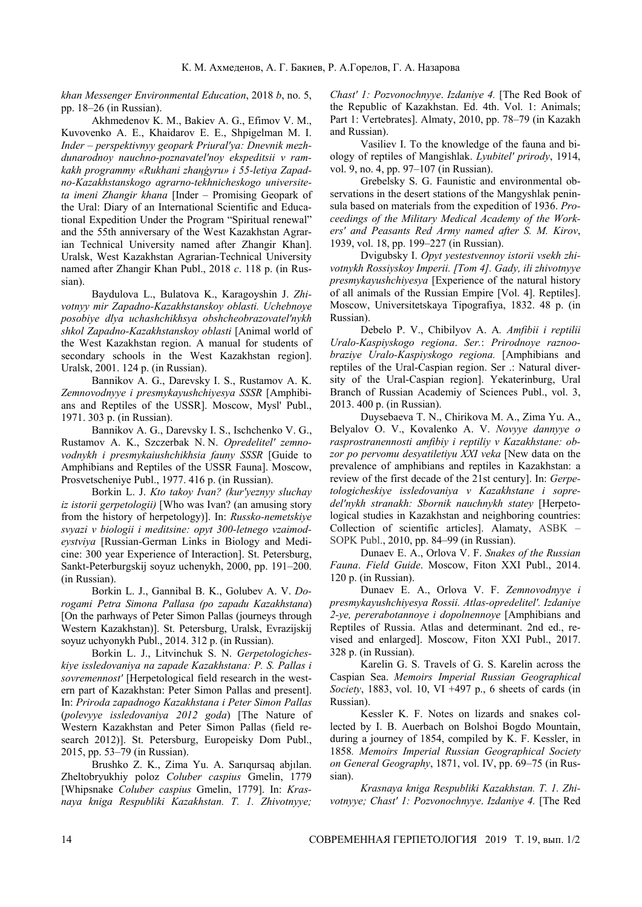*khan Messenger Environmental Education*, 2018 *b*, no. 5, pp. 18–26 (in Russian).

Akhmedenov K. M., Bakiev A. G., Efimov V. M., Kuvovenko A. E., Khaidarov E. E., Shpigelman M. I. *Inder – perspektivnyy geopark Priural'ya: Dnevnik mezhdunarodnoy nauchno-poznavatel'noy ekspeditsii v ramkakh programmy «Rukhani zhaңġyru» i 55-letiya Zapadno-Kazakhstanskogo agrarno-tekhnicheskogo universiteta imeni Zhangir khana* [Inder – Promising Geopark of the Ural: Diary of an International Scientific and Educational Expedition Under the Program "Spiritual renewal" and the 55th anniversary of the West Kazakhstan Agrarian Technical University named after Zhangir Khan]. Uralsk, West Kazakhstan Agrarian-Technical University named after Zhangir Khan Publ., 2018 *c*. 118 p. (in Russian).

Baydulova L., Bulatova K., Karagoyshin J. *Zhivotnyy mir Zapadno-Kazakhstanskoy oblasti. Uchebnoye posobiye dlya uchashchikhsya obshcheobrazovatel'nykh shkol Zapadno-Kazakhstanskoy oblasti* [Animal world of the West Kazakhstan region. A manual for students of secondary schools in the West Kazakhstan region]. Uralsk, 2001. 124 p. (in Russian).

Bannikov A. G., Darevsky I. S., Rustamov A. K. *Zemnovodnyye i presmykayushchiyesya SSSR* [Amphibians and Reptiles of the USSR]. Moscow, Mysl' Publ., 1971. 303 p. (in Russian).

Bannikov A. G., Darevsky I. S., Ischchenko V. G., Rustamov A. K., Szczerbak N. N. *Opredelitel' zemnovodnykh i presmykaiushchikhsia fauny SSSR* [Guide to Amphibians and Reptiles of the USSR Fauna]. Moscow, Prosvetscheniye Publ., 1977. 416 p. (in Russian).

Borkin L. J. *Kto takoy Ivan? (kur'yeznyy sluchay iz istorii gerpetologii)* [Who was Ivan? (an amusing story from the history of herpetology)]. In: *Russko-nemetskiye svyazi v biologii i meditsine: opyt 300-letnego vzaimodeystviya* [Russian-German Links in Biology and Medicine: 300 year Experience of Interaction]. St. Petersburg, Sankt-Peterburgskij soyuz uchenykh, 2000, pp. 191–200. (in Russian).

Borkin L. J., Gannibal B. K., Golubev A. V. *Dorogami Petra Simona Pallasa (po zapadu Kazakhstana*) [On the parhways of Peter Simon Pallas (journeys through Western Kazakhstan)]. St. Petersburg, Uralsk, Evrazijskij soyuz uchyonykh Publ., 2014. 312 p. (in Russian).

Borkin L. J., Litvinchuk S. N. *Gerpetologicheskiye issledovaniya na zapade Kazakhstana: P. S. Pallas i sovremennost'* [Herpetological field research in the western part of Kazakhstan: Peter Simon Pallas and present]. In: *Priroda zapadnogo Kazakhstana i Peter Simon Pallas*  (*polevyye issledovaniya 2012 goda*) [The Nature of Western Kazakhstan and Peter Simon Pallas (field research 2012)]. St. Petersburg, Europeisky Dom Publ., 2015, pp. 53–79 (in Russian).

Brushko Z. K., Zima Yu. A. Sarıqursaq abjılan. Zheltobryukhiy poloz *Coluber caspius* Gmelin, 1779 [Whipsnake *Coluber caspius* Gmelin, 1779]. In: *Krasnaya kniga Respubliki Kazakhstan. T. 1. Zhivotnyye;*  *Chast' 1: Pozvonochnyye*. *Izdaniye 4.* [The Red Book of the Republic of Kazakhstan. Ed. 4th. Vol. 1: Animals; Part 1: Vertebrates]. Almaty, 2010, pp. 78–79 (in Kazakh and Russian).

Vasiliev I. To the knowledge of the fauna and biology of reptiles of Mangishlak. *Lyubitel' prirody*, 1914, vol. 9, no. 4, pp. 97–107 (in Russian).

Grebelsky S. G. Faunistic and environmental observations in the desert stations of the Mangyshlak peninsula based on materials from the expedition of 1936. *Proceedings of the Military Medical Academy of the Workers' and Peasants Red Army named after S. M. Kirov*, 1939, vol. 18, pp. 199–227 (in Russian).

Dvigubsky I. *Opyt yestestvennoy istorii vsekh zhivotnykh Rossiyskoy Imperii. [Tom 4]. Gady, ili zhivotnyye presmykayushchiyesya* [Experience of the natural history of all animals of the Russian Empire [Vol. 4]. Reptiles]. Moscow, Universitetskaya Tipografiya, 1832. 48 p. (in Russian).

Debelo P. V., Chibilyov A. A*. Amfibii i reptilii Uralo-Kaspiyskogo regiona*. *Ser.*: *Prirodnoye raznoobraziye Uralo-Kaspiyskogo regiona.* [Amphibians and reptiles of the Ural-Caspian region. Ser .: Natural diversity of the Ural-Caspian region]. Yekaterinburg, Ural Branch of Russian Academiy of Sciences Publ., vol. 3, 2013. 400 p. (in Russian).

Duysebaeva T. N., Chirikova M. A., Zima Yu. A., Belyalov O. V., Kovalenko A. V. *Novyye dannyye o rasprostranennosti amfibiy i reptiliy v Kazakhstane: obzor po pervomu desyatiletiyu XXI veka* [New data on the prevalence of amphibians and reptiles in Kazakhstan: a review of the first decade of the 21st century]. In: *Gerpetologicheskiye issledovaniya v Kazakhstane i sopredel'nykh stranakh: Sbornik nauchnykh statey* [Herpetological studies in Kazakhstan and neighboring countries: Collection of scientific articles]. Alamaty, АSBK – SOPK Publ., 2010, pp. 84–99 (in Russian).

Dunaev E. A., Orlova V. F. *Snakes of the Russian Fauna*. *Field Guide*. Moscow, Fiton XXI Publ., 2014. 120 p. (in Russian).

Dunaev E. A., Orlova V. F. *Zemnovodnyye i presmykayushchiyesya Rossii. Atlas-opredelitel'. Izdaniye 2-ye, pererabotannoye i dopolnennoye* [Amphibians and Reptiles of Russia. Atlas and determinant. 2nd ed., revised and enlarged]. Moscow, Fiton XXI Publ., 2017. 328 p. (in Russian).

Karelin G. S. Travels of G. S. Karelin across the Caspian Sea. *Memoirs Imperial Russian Geographical Society*, 1883, vol. 10, VI +497 p., 6 sheets of cards (in Russian).

Kessler K. F. Notes on lizards and snakes collected by I. B. Auerbach on Bolshoi Bogdo Mountain, during a journey of 1854, compiled by K. F. Kessler, in 1858*. Memoirs Imperial Russian Geographical Society on General Geography*, 1871, vol. IV, pp. 69–75 (in Russian).

*Krasnaya kniga Respubliki Kazakhstan. T. 1. Zhivotnyye; Chast' 1: Pozvonochnyye*. *Izdaniye 4.* [The Red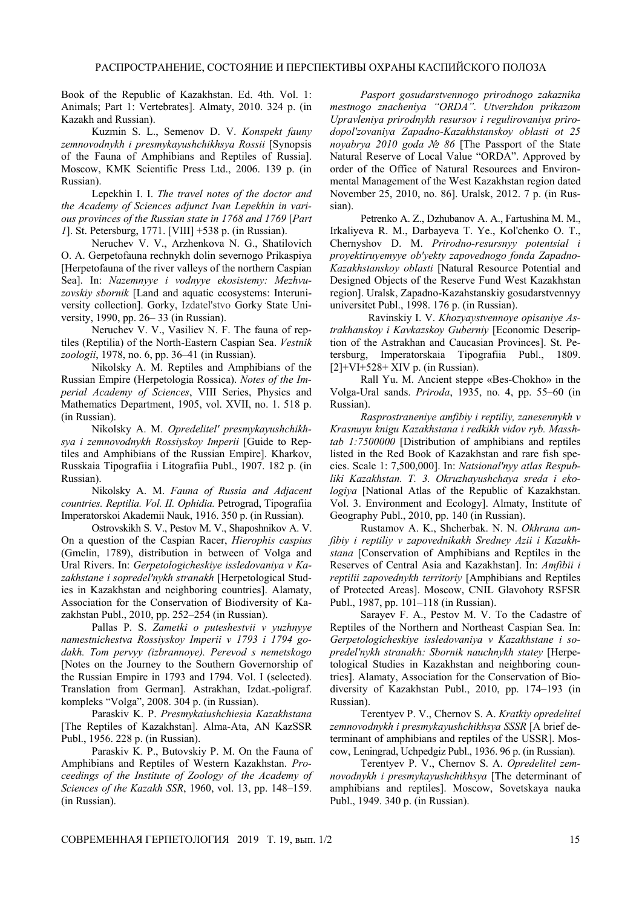## РАСПРОСТРАНЕНИЕ, СОСТОЯНИЕ И ПЕРСПЕКТИВЫ ОХРАНЫ КАСПИЙСКОГО ПОЛОЗА

Book of the Republic of Kazakhstan. Ed. 4th. Vol. 1: Animals; Part 1: Vertebrates]. Almaty, 2010. 324 p. (in Kazakh and Russian).

Kuzmin S. L., Semenov D. V. *Konspekt fauny zemnovodnykh i presmykayushchikhsya Rossii* [Synopsis of the Fauna of Amphibians and Reptiles of Russia]. Moscow, KMK Scientific Press Ltd., 2006. 139 p. (in Russian).

Lepekhin I. I. *The travel notes of the doctor and the Academy of Sciences adjunct Ivan Lepekhin in various provinces of the Russian state in 1768 and 1769* [*Part 1*]. St. Petersburg, 1771. [VIII] +538 p. (in Russian).

Neruchev V. V., Arzhenkova N. G., Shatilovich O. A. Gerpetofauna rechnykh dolin severnogo Prikaspiya [Herpetofauna of the river valleys of the northern Caspian Sea]. In: *Nazemnyye i vodnyye ekosistemy: Mezhvuzovskiy sbornik* [Land and aquatic ecosystems: Interuniversity collection]. Gorky, Izdatel'stvo Gorky State University, 1990, pp. 26– 33 (in Russian).

Neruchev V. V., Vasiliev N. F. The fauna of reptiles (Reptilia) of the North-Eastern Caspian Sea. *Vestnik zoologii*, 1978, no. 6, pp. 36–41 (in Russian).

Nikolsky A. M. Reptiles and Amphibians of the Russian Empire (Herpetologia Rossica). *Notes of the Imperial Academy of Sciences*, VIII Series, Physics and Mathematics Department, 1905, vol. XVII, no. 1. 518 p. (in Russian).

Nikolsky A. M. *Opredelitel' presmykayushchikhsya i zemnovodnykh Rossiyskoy Imperii* [Guide to Reptiles and Amphibians of the Russian Empire]. Kharkov, Russkaia Tipografiia i Litografiia Publ., 1907. 182 p. (in Russian).

Nikolsky A. M. *Fauna of Russia and Adjacent countries. Reptilia. Vol. II. Ophidia.* Petrograd, Tipografiia Imperatorskoi Akademii Nauk, 1916. 350 p. (in Russian).

Ostrovskikh S. V., Pestov M. V., Shaposhnikov A. V. On a question of the Caspian Racer, *Hierophis caspius* (Gmelin, 1789), distribution in between of Volga and Ural Rivers. In: *Gerpetologicheskiye issledovaniya v Kazakhstane i sopredel'nykh stranakh* [Herpetological Studies in Kazakhstan and neighboring countries]. Alamaty, Association for the Conservation of Biodiversity of Kazakhstan Publ., 2010, pp. 252–254 (in Russian).

Pallas P. S. *Zametki o puteshestvii v yuzhnyye namestnichestva Rossiyskoy Imperii v 1793 i 1794 godakh. Tom pervyy (izbrannoye). Perevod s nemetskogo*  [Notes on the Journey to the Southern Governorship of the Russian Empire in 1793 and 1794. Vol. I (selected). Translation from German]. Astrakhan, Izdat.-poligraf. kompleks "Volga", 2008. 304 p. (in Russian).

Paraskiv K. P. *Presmykaiushchiesia Kazakhstana* [The Reptiles of Kazakhstan]. Alma-Ata, AN KazSSR Publ., 1956. 228 p. (in Russian).

Paraskiv K. P., Butovskiy P. M. On the Fauna of Amphibians and Reptiles of Western Kazakhstan. *Proceedings of the Institute of Zoology of the Academy of Sciences of the Kazakh SSR*, 1960, vol. 13, pp. 148–159. (in Russian).

*Pasport gosudarstvennogo prirodnogo zakaznika mestnogo znacheniya "ORDA". Utverzhdon prikazom Upravleniya prirodnykh resursov i regulirovaniya prirodopol'zovaniya Zapadno-Kazakhstanskoy oblasti ot 25 noyabrya 2010 goda № 86* [The Passport of the State Natural Reserve of Local Value "ORDA". Approved by order of the Office of Natural Resources and Environmental Management of the West Kazakhstan region dated November 25, 2010, no. 86]. Uralsk, 2012. 7 p. (in Russian).

Petrenko A. Z., Dzhubanov A. A., Fartushina M. M., Irkaliyeva R. M., Darbayeva T. Ye., Kol'chenko O. T., Chernyshov D. M. *Prirodno-resursnyy potentsial i proyektiruyemyye ob'yekty zapovednogo fonda Zapadno-Kazakhstanskoy oblasti* [Natural Resource Potential and Designed Objects of the Reserve Fund West Kazakhstan region]. Uralsk, Zapadno-Kazahstanskiy gosudarstvennyy universitet Publ., 1998. 176 p. (in Russian).

Ravinskiy I. V. *Khozyaystvennoye opisaniye Astrakhanskoy i Kavkazskoy Guberniy* [Economic Description of the Astrakhan and Caucasian Provinces]. St. Petersburg, Imperatorskaia Tipografiia Publ., 1809. [2]+VI+528+ XIV p. (in Russian).

Rall Yu. M. Ancient steppe «Bes-Chokho» in the Volga-Ural sands. *Priroda*, 1935, no. 4, pp. 55–60 (in Russian).

*Rasprostraneniye amfibiy i reptiliy, zanesennykh v Krasnuyu knigu Kazakhstana i redkikh vidov ryb. Masshtab 1:7500000* [Distribution of amphibians and reptiles listed in the Red Book of Kazakhstan and rare fish species. Scale 1: 7,500,000]. In: *Natsional'nyy atlas Respubliki Kazakhstan. T. 3. Okruzhayushchaya sreda i ekologiya* [National Atlas of the Republic of Kazakhstan. Vol. 3. Environment and Ecology]. Almaty, Institute of Geography Publ., 2010, pp. 140 (in Russian).

Rustamov A. K., Shcherbak. N. N. *Okhrana amfibiy i reptiliy v zapovednikakh Sredney Azii i Kazakhstana* [Conservation of Amphibians and Reptiles in the Reserves of Central Asia and Kazakhstan]. In: *Amfibii i reptilii zapovednykh territoriy* [Amphibians and Reptiles of Protected Areas]. Moscow, CNIL Glavohoty RSFSR Publ., 1987, pp. 101–118 (in Russian).

Sarayev F. A., Pestov M. V. To the Cadastre of Reptiles of the Northern and Northeast Caspian Sea. In: *Gerpetologicheskiye issledovaniya v Kazakhstane i sopredel'nykh stranakh: Sbornik nauchnykh statey* [Herpetological Studies in Kazakhstan and neighboring countries]. Alamaty, Association for the Conservation of Biodiversity of Kazakhstan Publ., 2010, pp. 174–193 (in Russian).

Terentyev P. V., Chernov S. A. *Kratkiy opredelitel zemnovodnykh i presmykayushchikhsya SSSR* [A brief determinant of amphibians and reptiles of the USSR]. Moscow, Leningrad, Uchpedgiz Publ., 1936. 96 p. (in Russian).

Terentyev P. V., Chernov S. A. *Opredelitel zemnovodnykh i presmykayushchikhsya* [The determinant of amphibians and reptiles]. Moscow, Sovetskaya nauka Publ., 1949. 340 p. (in Russian).